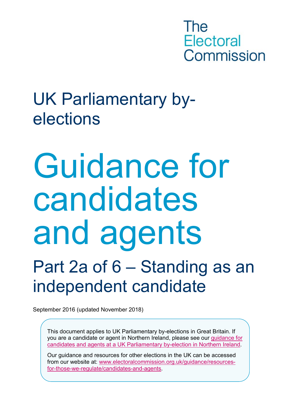The **Electoral** Commission

## UK Parliamentary byelections

# Guidance for candidates and agents

## Part 2a of 6 – Standing as an independent candidate

September 2016 (updated November 2018)

This document applies to UK Parliamentary by-elections in Great Britain. If you are a candidate or agent in Northern Ireland, please see our [guidance for](http://www.electoralcommission.org.uk/i-am-a/candidate-or-agent/uk-parliamentary-by-elections-Northern-Ireland)  [candidates and agents at a UK Parliamentary by-election in Northern Ireland.](http://www.electoralcommission.org.uk/i-am-a/candidate-or-agent/uk-parliamentary-by-elections-Northern-Ireland)

Our guidance and resources for other elections in the UK can be accessed from our website at: [www.electoralcommission.org.uk/guidance/resources](http://www.electoralcommission.org.uk/guidance/resources-for-those-we-regulate/candidates-and-agents)[for-those-we-regulate/candidates-and-agents.](http://www.electoralcommission.org.uk/guidance/resources-for-those-we-regulate/candidates-and-agents)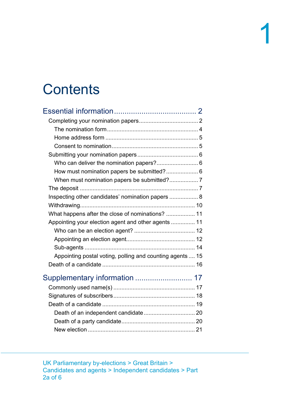## **Contents**

<span id="page-1-0"></span>

| Who can deliver the nomination papers? 6                  |  |
|-----------------------------------------------------------|--|
| How must nomination papers be submitted? 6                |  |
|                                                           |  |
|                                                           |  |
| Inspecting other candidates' nomination papers  8         |  |
|                                                           |  |
| What happens after the close of nominations?  11          |  |
| Appointing your election agent and other agents  11       |  |
|                                                           |  |
|                                                           |  |
|                                                           |  |
| Appointing postal voting, polling and counting agents  15 |  |
|                                                           |  |
|                                                           |  |
|                                                           |  |
|                                                           |  |
|                                                           |  |
|                                                           |  |
|                                                           |  |
|                                                           |  |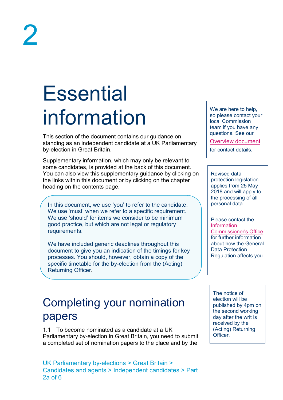## <span id="page-2-0"></span>**Essential** information

This section of the document contains our guidance on standing as an independent candidate at a UK Parliamentary by-election in Great Britain.

Supplementary information, which may only be relevant to some candidates, is provided at the back of this document. You can also view this supplementary guidance by clicking on the links within this document or by clicking on the chapter heading on the contents page.

In this document, we use 'you' to refer to the candidate. We use 'must' when we refer to a specific requirement. We use 'should' for items we consider to be minimum good practice, but which are not legal or regulatory requirements.

We have included generic deadlines throughout this document to give you an indication of the timings for key processes. You should, however, obtain a copy of the specific timetable for the by-election from the (Acting) Returning Officer.

## <span id="page-2-1"></span>Completing your nomination papers

1.1 To become nominated as a candidate at a UK Parliamentary by-election in Great Britain, you need to submit a completed set of nomination papers to the place and by the

We are here to help, so please contact your local Commission team if you have any questions. See our

[Overview document](http://www.electoralcommission.org.uk/__data/assets/pdf_file/0018/214227/Parliamentary-By-Election-Overview.pdf)

for contact details.

Revised data protection legislation applies from 25 May 2018 and will apply to the processing of all personal data.

Please contact the **Information** [Commissioner's Office](https://ico.org.uk/for-organisations/guide-to-the-general-data-protection-regulation-gdpr/) for further information about how the General Data Protection Regulation affects you.

The notice of election will be published by 4pm on the second working day after the writ is received by the (Acting) Returning **Officer**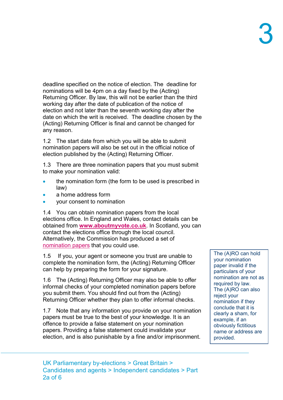deadline specified on the notice of election. The deadline for nominations will be 4pm on a day fixed by the (Acting) Returning Officer. By law, this will not be earlier than the third working day after the date of publication of the notice of election and not later than the seventh working day after the date on which the writ is received. The deadline chosen by the (Acting) Returning Officer is final and cannot be changed for any reason.

1.2 The start date from which you will be able to submit nomination papers will also be set out in the official notice of election published by the (Acting) Returning Officer.

1.3 There are three nomination papers that you must submit to make your nomination valid:

- the nomination form (the form to be used is prescribed in law)
- a home address form
- your consent to nomination

1.4 You can obtain nomination papers from the local elections office. In England and Wales, contact details can be obtained from **[www.aboutmyvote.co.uk](http://www.aboutmyvote.co.uk/)**. In Scotland, you can contact the elections office through the local council. Alternatively, the Commission has produced a set of [nomination papers](http://www.electoralcommission.org.uk/__data/assets/word_doc/0011/175871/UKP-Nomination-pack-incl-election-agent-notification-form.doc) that you could use.

1.5 If you, your agent or someone you trust are unable to complete the nomination form, the (Acting) Returning Officer can help by preparing the form for your signature.

1.6 The (Acting) Returning Officer may also be able to offer informal checks of your completed nomination papers before you submit them. You should find out from the (Acting) Returning Officer whether they plan to offer informal checks.

1.7 Note that any information you provide on your nomination papers must be true to the best of your knowledge. It is an offence to provide a false statement on your nomination papers. Providing a false statement could invalidate your election, and is also punishable by a fine and/or imprisonment.

The (A)RO can hold your nomination paper invalid if the particulars of your nomination are not as required by law. The (A)RO can also reject your nomination if they conclude that it is clearly a sham, for example, if an obviously fictitious name or address are provided.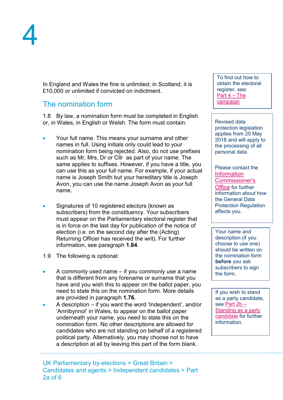In England and Wales the fine is unlimited; in Scotland, it is £10,000 or unlimited if convicted on indictment.

#### <span id="page-4-0"></span>The nomination form

1.8 By law, a [nomination form](http://www.electoralcommission.org.uk/__data/assets/word_doc/0006/141792/Nomination-pack-incl-election-agent-notification-form-LGEW.doc) must be completed in English or, in Wales, in English or Welsh. The form must contain:

- Your full name. This means your surname and other names in full. Using initials only could lead to your nomination form being rejected. Also, do not use prefixes such as Mr, Mrs, Dr or Cllr as part of your name. The same applies to suffixes. However, if you have a title, you can use this as your full name. For example, if your actual name is Joseph Smith but your hereditary title is Joseph Avon, you can use the name Joseph Avon as your full name.
- Signatures of 10 registered electors (known as subscribers) from the constituency. Your subscribers must appear on the Parliamentary electoral register that is in force on the last day for publication of the notice of election (i.e. on the second day after the (Acting) Returning Officer has received the writ). For further information, see paragraph **[1.84](#page-18-1)**.
- 1.9 The following is optional:
- A commonly used name if you commonly use a name that is different from any forename or surname that you have and you wish this to appear on the ballot paper, you need to state this on the nomination form. More details are provided in paragraph **[1.76](#page-17-2)**.
- A description if you want the word 'Independent', and/or 'Annibynnol' in Wales, to appear on the ballot paper underneath your name, you need to state this on the nomination form. No other descriptions are allowed for candidates who are not standing on behalf of a registered political party. Alternatively, you may choose not to have a description at all by leaving this part of the form blank.

To find out how to obtain the electoral register, see: [Part 4 –](http://www.electoralcommission.org.uk/__data/assets/pdf_file/0013/214231/Parliamentary-By-Election-Part-4-The-campaign.pdf) The [campaign](http://www.electoralcommission.org.uk/__data/assets/pdf_file/0013/214231/Parliamentary-By-Election-Part-4-The-campaign.pdf)

Revised data protection legislation applies from 25 May 2018 and will apply to the processing of all personal data.

Please contact the [Information](https://ico.org.uk/for-organisations/guide-to-the-general-data-protection-regulation-gdpr/)  [Commissioner's](https://ico.org.uk/for-organisations/guide-to-the-general-data-protection-regulation-gdpr/)  [Office](https://ico.org.uk/for-organisations/guide-to-the-general-data-protection-regulation-gdpr/) for further information about how the General Data Protection Regulation affects you.

Your name and description (if you choose to use one) should be written on the nomination form **before** you ask subscribers to sign the form.

If you wish to stand as a party candidate, see [Part 2b –](http://www.electoralcommission.org.uk/__data/assets/pdf_file/0012/214230/Parliamentary-By-Election-Part-2b-Standing-as-an-independent-candidate.pdf) [Standing as a party](http://www.electoralcommission.org.uk/__data/assets/pdf_file/0012/214230/Parliamentary-By-Election-Part-2b-Standing-as-an-independent-candidate.pdf)  [candidate](http://www.electoralcommission.org.uk/__data/assets/pdf_file/0012/214230/Parliamentary-By-Election-Part-2b-Standing-as-an-independent-candidate.pdf) for further information.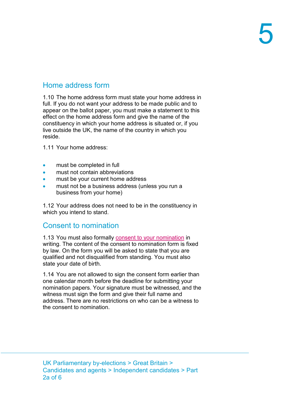## <span id="page-5-0"></span>Home address form

1.10 The home address form must state your home address in full. If you do not want your address to be made public and to appear on the ballot paper, you must make a statement to this effect on the home address form and give the name of the constituency in which your home address is situated or, if you live outside the UK, the name of the country in which you reside.

1.11 Your home address:

- must be completed in full
- must not contain abbreviations
- must be your current home address
- must not be a business address (unless you run a business from your home)

1.12 Your address does not need to be in the constituency in which you intend to stand.

### <span id="page-5-1"></span>Consent to nomination

1.13 You must also formally [consent to your nomination](http://www.electoralcommission.org.uk/__data/assets/word_doc/0011/175871/UKP-Nomination-pack-incl-election-agent-notification-form.doc) in writing. The content of the [consent to nomination form](http://www.electoralcommission.org.uk/__data/assets/word_doc/0006/141792/Nomination-pack-incl-election-agent-notification-form-LGEW.doc) is fixed by law. On the [form](http://www.electoralcommission.org.uk/__data/assets/word_doc/0006/141792/Nomination-pack-incl-election-agent-notification-form-LGEW.doc) you will be asked to state that you are qualified and not disqualified from standing. You must also state your date of birth.

1.14 You are not allowed to sign the consent form earlier than one calendar month before the deadline for submitting your nomination papers. Your signature must be witnessed, and the witness must sign the form and give their full name and address. There are no restrictions on who can be a witness to the consent to nomination.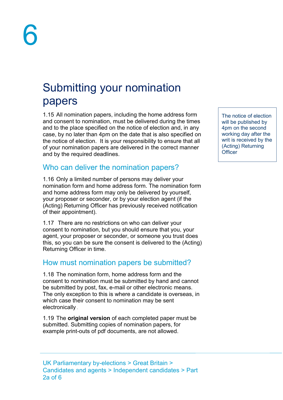## <span id="page-6-0"></span>Submitting your nomination papers

1.15 All nomination papers, including the home address form and consent to nomination, must be delivered during the times and to the place specified on the notice of election and, in any case, by no later than 4pm on the date that is also specified on the notice of election. It is your responsibility to ensure that all of your nomination papers are delivered in the correct manner and by the required deadlines.

### <span id="page-6-1"></span>Who can deliver the nomination papers?

1.16 Only a limited number of persons may deliver your nomination form and home address form. The nomination form and home address form may only be delivered by yourself, your proposer or seconder, or by your election agent (if the (Acting) Returning Officer has previously received notification of their appointment).

1.17 There are no restrictions on who can deliver your consent to nomination, but you should ensure that you, your agent, your proposer or seconder, or someone you trust does this, so you can be sure the consent is delivered to the (Acting) Returning Officer in time.

### <span id="page-6-2"></span>How must nomination papers be submitted?

1.18 The nomination form, home address form and the consent to nomination must be submitted by hand and cannot be submitted by post, fax, e-mail or other electronic means. The only exception to this is where a candidate is overseas, in which case their consent to nomination may be sent electronically .

1.19 The **original version** of each completed paper must be submitted. Submitting copies of nomination papers, for example print-outs of pdf documents, are not allowed.

The notice of election will be published by 4pm on the second working day after the writ is received by the (Acting) Returning **Officer**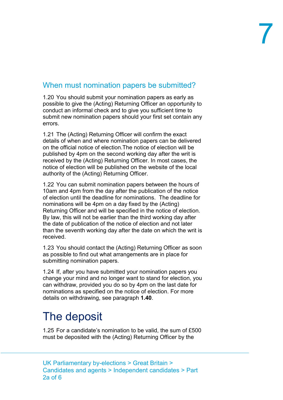## <span id="page-7-0"></span>When must nomination papers be submitted?

1.20 You should submit your nomination papers as early as possible to give the (Acting) Returning Officer an opportunity to conduct an informal check and to give you sufficient time to submit new nomination papers should your first set contain any errors.

1.21 The (Acting) Returning Officer will confirm the exact details of when and where nomination papers can be delivered on the official notice of election.The notice of election will be published by 4pm on the second working day after the writ is received by the (Acting) Returning Officer. In most cases, the notice of election will be published on the website of the local authority of the (Acting) Returning Officer.

1.22 You can submit nomination papers between the hours of 10am and 4pm from the day after the publication of the notice of election until the deadline for nominations. The deadline for nominations will be 4pm on a day fixed by the (Acting) Returning Officer and will be specified in the notice of election. By law, this will not be earlier than the third working day after the date of publication of the notice of election and not later than the seventh working day after the date on which the writ is received.

1.23 You should contact the (Acting) Returning Officer as soon as possible to find out what arrangements are in place for submitting nomination papers.

1.24 If, after you have submitted your nomination papers you change your mind and no longer want to stand for election, you can withdraw, provided you do so by 4pm on the last date for nominations as specified on the notice of election. For more details on withdrawing, see paragraph **[1.40](#page-10-1)**.

## <span id="page-7-1"></span>The deposit

1.25 For a candidate's nomination to be valid, the sum of £500 must be deposited with the (Acting) Returning Officer by the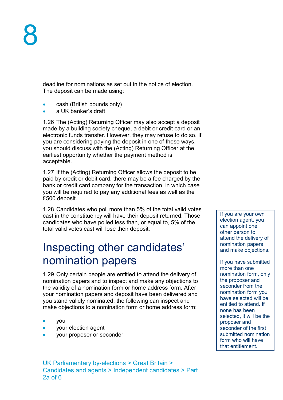deadline for nominations as set out in the notice of election. The deposit can be made using:

- cash (British pounds only)
- a UK banker's draft

1.26 The (Acting) Returning Officer may also accept a deposit made by a building society cheque, a debit or credit card or an electronic funds transfer. However, they may refuse to do so. If you are considering paying the deposit in one of these ways, you should discuss with the (Acting) Returning Officer at the earliest opportunity whether the payment method is acceptable.

1.27 If the (Acting) Returning Officer allows the deposit to be paid by credit or debit card, there may be a fee charged by the bank or credit card company for the transaction, in which case you will be required to pay any additional fees as well as the £500 deposit.

1.28 Candidates who poll more than 5% of the total valid votes cast in the constituency will have their deposit returned. Those candidates who have polled less than, or equal to, 5% of the total valid votes cast will lose their deposit.

## <span id="page-8-0"></span>Inspecting other candidates' nomination papers

1.29 Only certain people are entitled to attend the delivery of nomination papers and to inspect and make any objections to the validity of a nomination form or home address form. After your nomination papers and deposit have been delivered and you stand validly nominated, the following can inspect and make objections to a nomination form or home address form:

- you
- your election agent
- your proposer or seconder

If you are your own election agent, you can appoint one other person to attend the delivery of nomination papers and make objections.

If you have submitted more than one nomination form, only the proposer and seconder from the nomination form you have selected will be entitled to attend. If none has been selected, it will be the proposer and seconder of the first submitted nomination form who will have that entitlement.

UK Parliamentary by-elections > Great Britain > Candidates and agents > Independent candidates > Part 2a of 6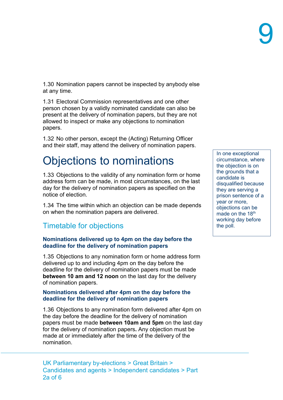1.30 Nomination papers cannot be inspected by anybody else at any time.

1.31 Electoral Commission representatives and one other person chosen by a validly nominated candidate can also be present at the delivery of nomination papers, but they are not allowed to inspect or make any objections to nomination papers.

1.32 No other person, except the (Acting) Returning Officer and their staff, may attend the delivery of nomination papers.

## Objections to nominations

1.33 Objections to the validity of any nomination form or home address form can be made, in most circumstances, on the last day for the delivery of nomination papers as specified on the notice of election.

1.34 The time within which an objection can be made depends on when the nomination papers are delivered.

### Timetable for objections

#### **Nominations delivered up to 4pm on the day before the deadline for the delivery of nomination papers**

1.35 Objections to any nomination form or home address form delivered up to and including 4pm on the day before the deadline for the delivery of nomination papers must be made **between 10 am and 12 noon** on the last day for the delivery of nomination papers.

#### **Nominations delivered after 4pm on the day before the deadline for the delivery of nomination papers**

1.36 Objections to any nomination form delivered after 4pm on the day before the deadline for the delivery of nomination papers must be made **between 10am and 5pm** on the last day for the delivery of nomination papers**.** Any objection must be made at or immediately after the time of the delivery of the nomination.

UK Parliamentary by-elections > Great Britain > Candidates and agents > Independent candidates > Part 2a of 6

In one exceptional circumstance, where the objection is on the grounds that a candidate is disqualified because they are serving a prison sentence of a year or more, objections can be made on the 18<sup>th</sup> working day before the poll.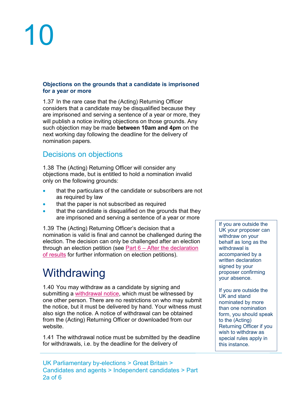#### **Objections on the grounds that a candidate is imprisoned for a year or more**

1.37 In the rare case that the (Acting) Returning Officer considers that a candidate may be disqualified because they are imprisoned and serving a sentence of a year or more, they will publish a notice inviting objections on those grounds. Any such objection may be made **between 10am and 4pm** on the next working day following the deadline for the delivery of nomination papers.

### Decisions on objections

1.38 The (Acting) Returning Officer will consider any objections made, but is entitled to hold a nomination invalid only on the following grounds:

- that the particulars of the candidate or subscribers are not as required by law
- that the paper is not subscribed as required
- that the candidate is disqualified on the grounds that they are imprisoned and serving a sentence of a year or more

1.39 The (Acting) Returning Officer's decision that a nomination is valid is final and cannot be challenged during the election. The decision can only be challenged after an election through an election petition (see Part 6 – After the declaration [of results](http://www.electoralcommission.org.uk/__data/assets/pdf_file/0015/214233/Parliamentary-By-Election-Part-6-After-the-declaration-of-results.pdf) for further information on election petitions).

## <span id="page-10-0"></span>**Withdrawing**

<span id="page-10-1"></span>1.40 You may withdraw as a candidate by signing and submitting a [withdrawal notice,](http://www.electoralcommission.org.uk/__data/assets/word_doc/0004/176170/UKP-Withdrawal-form.doc) which must be witnessed by one other person. There are no restrictions on who may submit the notice, but it must be delivered by hand. Your witness must also sign the notice. A [notice of withdrawal](http://www.electoralcommission.org.uk/__data/assets/word_doc/0009/141795/Withdrawal-form-LGEW.doc) can be obtained from the (Acting) Returning Officer or downloaded from our website.

1.41 The withdrawal notice must be submitted by the deadline for withdrawals, i.e. by the deadline for the delivery of

If you are outside the UK your proposer can withdraw on your behalf as long as the withdrawal is accompanied by a written declaration signed by your proposer confirming your absence.

If you are outside the UK and stand nominated by more than one nomination form, you should speak to the (Acting) Returning Officer if you wish to withdraw as special rules apply in this instance.

UK Parliamentary by-elections > Great Britain > Candidates and agents > Independent candidates > Part 2a of 6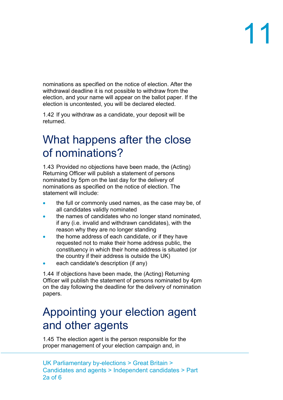nominations as specified on the notice of election. After the withdrawal deadline it is not possible to withdraw from the election, and your name will appear on the ballot paper. If the election is uncontested, you will be declared elected.

1.42 If you withdraw as a candidate, your deposit will be returned.

## <span id="page-11-0"></span>What happens after the close of nominations?

1.43 Provided no objections have been made, the (Acting) Returning Officer will publish a statement of persons nominated by 5pm on the last day for the delivery of nominations as specified on the notice of election. The statement will include:

- the full or commonly used names, as the case may be, of all candidates validly nominated
- the names of candidates who no longer stand nominated, if any (i.e. invalid and withdrawn candidates), with the reason why they are no longer standing
- the home address of each candidate, or if they have requested not to make their home address public, the constituency in which their home address is situated (or the country if their address is outside the UK)
- each candidate's description (if any)

1.44 If objections have been made, the (Acting) Returning Officer will publish the statement of persons nominated by 4pm on the day following the deadline for the delivery of nomination papers.

## <span id="page-11-1"></span>Appointing your election agent and other agents

1.45 The election agent is the person responsible for the proper management of your election campaign and, in

UK Parliamentary by-elections > Great Britain > Candidates and agents > Independent candidates > Part 2a of 6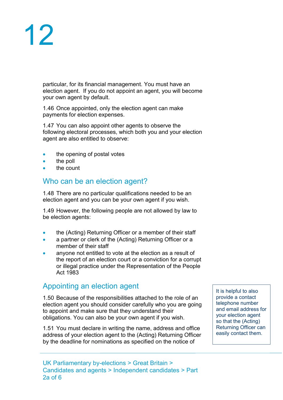particular, for its financial management. You must have an election agent. If you do not appoint an agent, you will become your own agent by default.

1.46 Once appointed, only the election agent can make payments for election expenses.

1.47 You can also appoint other agents to observe the following electoral processes, which both you and your election agent are also entitled to observe:

- the opening of postal votes
- the poll
- <span id="page-12-0"></span>the count

#### Who can be an election agent?

1.48 There are no particular qualifications needed to be an election agent and you can be your own agent if you wish.

<span id="page-12-2"></span>1.49 However, the following people are not allowed by law to be election agents:

- the (Acting) Returning Officer or a member of their staff
- a partner or clerk of the (Acting) Returning Officer or a member of their staff
- anvone not entitled to vote at the election as a result of the report of an election court or a conviction for a corrupt or illegal practice under the Representation of the People Act 1983

### <span id="page-12-1"></span>Appointing an election agent

1.50 Because of the responsibilities attached to the role of an election agent you should consider carefully who you are going to appoint and make sure that they understand their obligations. You can also be your own agent if you wish.

1.51 You must declare in writing the name, address and office address of your election agent to the (Acting) Returning Officer by the deadline for nominations as specified on the notice of

It is helpful to also provide a contact telephone number and email address for your election agent so that the (Acting) Returning Officer can easily contact them.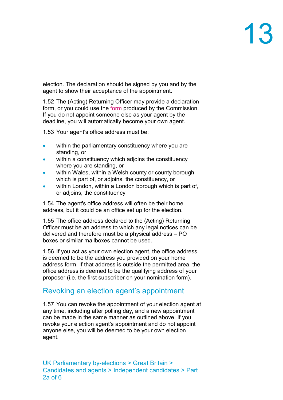election. The declaration should be signed by you and by the agent to show their acceptance of the appointment.

1.52 The (Acting) Returning Officer may provide a declaration form, or you could use the [form](http://www.electoralcommission.org.uk/__data/assets/word_doc/0011/175871/UKP-Nomination-pack-incl-election-agent-notification-form.doc) produced by the Commission. If you do not appoint someone else as your agent by the deadline, you will automatically become your own agent.

1.53 Your agent's office address must be:

- within the parliamentary constituency where you are standing, or
- within a constituency which adjoins the constituency where you are standing, or
- within Wales, within a Welsh county or county borough which is part of, or adjoins, the constituency, or
- within London, within a London borough which is part of, or adjoins, the constituency

1.54 The agent's office address will often be their home address, but it could be an office set up for the election.

1.55 The office address declared to the (Acting) Returning Officer must be an address to which any legal notices can be delivered and therefore must be a physical address – PO boxes or similar mailboxes cannot be used.

1.56 If you act as your own election agent, the office address is deemed to be the address you provided on your home address form. If that address is outside the permitted area, the office address is deemed to be the qualifying address of your proposer (i.e. the first subscriber on your nomination form).

### Revoking an election agent's appointment

1.57 You can revoke the appointment of your election agent at any time, including after polling day, and a new appointment can be made in the same manner as outlined above. If you revoke your election agent's appointment and do not appoint anyone else, you will be deemed to be your own election agent.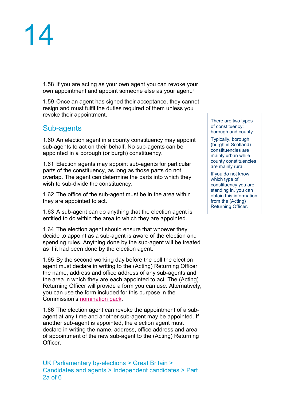

1.58 If you are acting as your own agent you can revoke your own appointment and appoint someone else as your agent. [i](#page-1-0)

1.59 Once an agent has signed their acceptance, they cannot resign and must fulfil the duties required of them unless you revoke their appointment.

#### <span id="page-14-0"></span>Sub-agents

1.60 An election agent in a county constituency may appoint sub-agents to act on their behalf. No sub-agents can be appointed in a borough (or burgh) constituency.

1.61 Election agents may appoint sub-agents for particular parts of the constituency, as long as those parts do not overlap. The agent can determine the parts into which they wish to sub-divide the constituency.

1.62 The office of the sub-agent must be in the area within they are appointed to act.

1.63 A sub-agent can do anything that the election agent is entitled to do within the area to which they are appointed.

1.64 The election agent should ensure that whoever they decide to appoint as a sub-agent is aware of the election and spending rules. Anything done by the sub-agent will be treated as if it had been done by the election agent.

1.65 By the second working day before the poll the election agent must declare in writing to the (Acting) Returning Officer the name, address and office address of any sub-agents and the area in which they are each appointed to act. The (Acting) Returning Officer will provide a form you can use. Alternatively, you can use the form included for this purpose in the Commission's [nomination pack.](http://www.electoralcommission.org.uk/__data/assets/word_doc/0011/175871/UKP-Nomination-pack-incl-election-agent-notification-form.doc)

1.66 The election agent can revoke the appointment of a subagent at any time and another sub-agent may be appointed. If another sub-agent is appointed, the election agent must declare in writing the name, address, office address and area of appointment of the new sub-agent to the (Acting) Returning Officer.

UK Parliamentary by-elections > Great Britain > Candidates and agents > Independent candidates > Part 2a of 6

There are two types of constituency: borough and county.

Typically, borough (burgh in Scotland) constituencies are mainly urban while county constituencies are mainly rural.

If you do not know which type of constituency you are standing in, you can obtain this information from the (Acting) Returning Officer.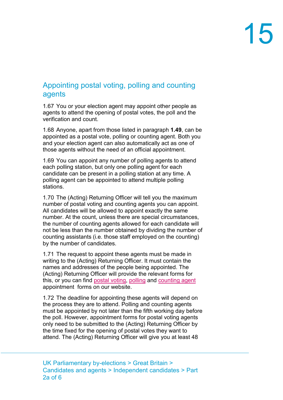### <span id="page-15-0"></span>Appointing postal voting, polling and counting agents

1.67 You or your election agent may appoint other people as agents to attend the opening of postal votes, the poll and the verification and count.

1.68 Anyone, apart from those listed in paragraph **[1.49](#page-12-2)**, can be appointed as a postal vote, polling or counting agent. Both you and your election agent can also automatically act as one of those agents without the need of an official appointment.

1.69 You can appoint any number of polling agents to attend each polling station, but only one polling agent for each candidate can be present in a polling station at any time. A polling agent can be appointed to attend multiple polling stations.

1.70 The (Acting) Returning Officer will tell you the maximum number of postal voting and counting agents you can appoint. All candidates will be allowed to appoint exactly the same number. At the count, unless there are special circumstances, the number of counting agents allowed for each candidate will not be less than the number obtained by dividing the number of counting assistants (i.e. those staff employed on the counting) by the number of candidates.

1.71 The request to appoint these agents must be made in writing to the (Acting) Returning Officer. It must contain the names and addresses of the people being appointed. The (Acting) Returning Officer will provide the relevant forms for this, or you can find [postal voting,](http://www.electoralcommission.org.uk/__data/assets/word_doc/0008/141884/Postal-voting-agent-appointment-form-generic.doc) [polling](http://www.electoralcommission.org.uk/__data/assets/word_doc/0007/141883/Polling-agent-appointment-form-generic.doc) and [counting agent](http://www.electoralcommission.org.uk/__data/assets/word_doc/0009/141885/Counting-agent-appointment-form-generic.doc) appointment forms on our website.

1.72 The deadline for appointing these agents will depend on the process they are to attend. Polling and counting agents must be appointed by not later than the fifth working day before the poll. However, appointment forms for postal voting agents only need to be submitted to the (Acting) Returning Officer by the time fixed for the opening of postal votes they want to attend. The (Acting) Returning Officer will give you at least 48

UK Parliamentary by-elections > Great Britain > Candidates and agents > Independent candidates > Part 2a of 6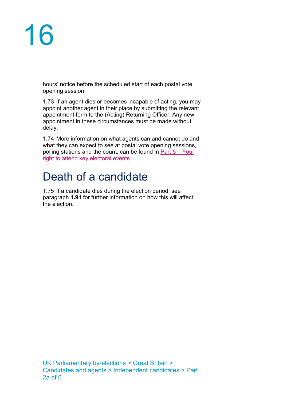hours' notice before the scheduled start of each postal vote opening session.

1.73 If an agent dies or becomes incapable of acting, you may appoint another agent in their place by submitting the relevant appointment form to the (Acting) Returning Officer. Any new appointment in these circumstances must be made without delay.

1.74 More information on what agents can and cannot do and what they can expect to see at postal vote opening sessions, polling stations and the count, can be found in  $Part 5 - Your$ [right to attend key electoral events.](http://www.electoralcommission.org.uk/__data/assets/pdf_file/0014/214232/Parliamentary-By-Election-Part-5-Your-right-to-attend-key-electoral-events.pdf)

## <span id="page-16-0"></span>Death of a candidate

1.75 If a candidate dies during the election period, see paragraph **[1.91](#page-19-1)** for further information on how this will affect the election.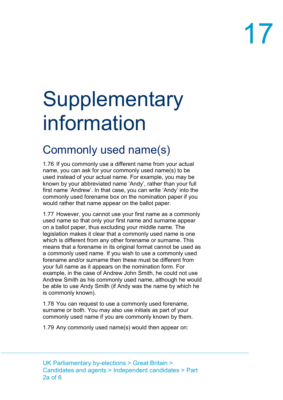## <span id="page-17-0"></span>**Supplementary** information

## <span id="page-17-1"></span>Commonly used name(s)

<span id="page-17-2"></span>1.76 If you commonly use a different name from your actual name, you can ask for your commonly used name(s) to be used instead of your actual name. For example, you may be known by your abbreviated name 'Andy', rather than your full first name 'Andrew'. In that case, you can write 'Andy' into the commonly used forename box on the nomination paper if you would rather that name appear on the ballot paper.

1.77 However, you cannot use your first name as a commonly used name so that only your first name and surname appear on a ballot paper, thus excluding your middle name. The legislation makes it clear that a commonly used name is one which is different from any other forename or surname. This means that a forename in its original format cannot be used as a commonly used name. If you wish to use a commonly used forename and/or surname then these must be different from your full name as it appears on the nomination form. For example, in the case of Andrew John Smith, he could not use Andrew Smith as his commonly used name, although he would be able to use Andy Smith (if Andy was the name by which he is commonly known).

1.78 You can request to use a commonly used forename, surname or both. You may also use initials as part of your commonly used name if you are commonly known by them.

1.79 Any commonly used name(s) would then appear on: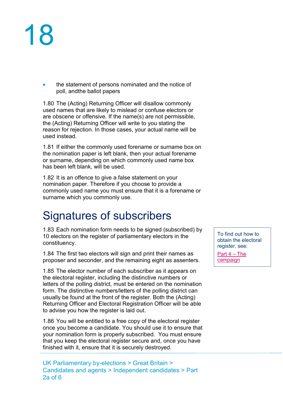the statement of persons nominated and the notice of poll, andthe ballot papers

1.80 The (Acting) Returning Officer will disallow commonly used names that are likely to mislead or confuse electors or are obscene or offensive. If the name(s) are not permissible, the (Acting) Returning Officer will write to you stating the reason for rejection. In those cases, your actual name will be used instead.

1.81 If either the commonly used forename or surname box on the nomination paper is left blank, then your actual forename or surname, depending on which commonly used name box has been left blank, will be used.

1.82 It is an offence to give a false statement on your nomination paper. Therefore if you choose to provide a commonly used name you must ensure that it is a forename or surname which you commonly use.

## <span id="page-18-0"></span>Signatures of subscribers

<span id="page-18-1"></span>1.83 Each nomination form needs to be signed (subscribed) by 10 electors on the register of parliamentary electors in the constituency.

1.84 The first two electors will sign and print their names as proposer and seconder, and the remaining eight as assenters.

1.85 The elector number of each subscriber as it appears on the electoral register, including the distinctive numbers or letters of the polling district, must be entered on the nomination form. The distinctive numbers/letters of the polling district can usually be found at the front of the register. Both the (Acting) Returning Officer and Electoral Registration Officer will be able to advise you how the register is laid out.

1.86 You will be entitled to a free copy of the electoral register once you become a candidate. You should use it to ensure that your nomination form is properly subscribed. You must ensure that you keep the electoral register secure and, once you have finished with it, ensure that it is securely destroyed.

To find out how to obtain the electoral register, see:

[Part 4 –](http://www.electoralcommission.org.uk/__data/assets/pdf_file/0013/214231/Parliamentary-By-Election-Part-4-The-campaign.pdf) The [campaign](http://www.electoralcommission.org.uk/__data/assets/pdf_file/0013/214231/Parliamentary-By-Election-Part-4-The-campaign.pdf)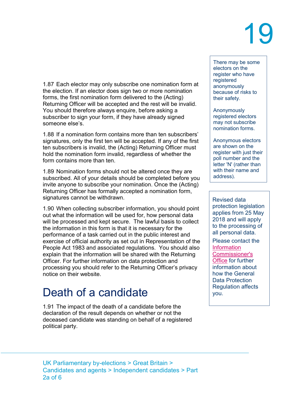1.87 Each elector may only subscribe one nomination form at the election. If an elector does sign two or more nomination forms, the first nomination form delivered to the (Acting) Returning Officer will be accepted and the rest will be invalid. You should therefore always enquire, before asking a subscriber to sign your form, if they have already signed someone else's.

1.88 If a nomination form contains more than ten subscribers' signatures, only the first ten will be accepted. If any of the first ten subscribers is invalid, the (Acting) Returning Officer must hold the nomination form invalid, regardless of whether the form contains more than ten.

1.89 Nomination forms should not be altered once they are subscribed. All of your details should be completed before you invite anyone to subscribe your nomination. Once the (Acting) Returning Officer has formally accepted a nomination form, signatures cannot be withdrawn.

1.90 When collecting subscriber information, you should point out what the information will be used for, how personal data will be processed and kept secure. The lawful basis to collect the information in this form is that it is necessary for the performance of a task carried out in the public interest and exercise of official authority as set out in Representation of the People Act 1983 and associated regulations. You should also explain that the information will be shared with the Returning Officer. For further information on data protection and processing you should refer to the Returning Officer's privacy notice on their website.

## <span id="page-19-0"></span>Death of a candidate

<span id="page-19-1"></span>1.91 The impact of the death of a candidate before the declaration of the result depends on whether or not the deceased candidate was standing on behalf of a registered political party.

There may be some electors on the register who have registered anonymously because of risks to their safety.

Anonymously registered electors may not subscribe nomination forms.

Anonymous electors are shown on the register with just their poll number and the letter 'N' (rather than with their name and address).

Revised data protection legislation applies from 25 May 2018 and will apply to the processing of all personal data.

Please contact the **Information** [Commissioner's](https://ico.org.uk/for-organisations/guide-to-the-general-data-protection-regulation-gdpr/)  [Office](https://ico.org.uk/for-organisations/guide-to-the-general-data-protection-regulation-gdpr/) for further information about how the General Data Protection Regulation affects you.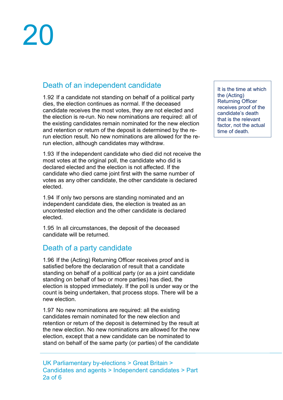### <span id="page-20-0"></span>Death of an independent candidate

1.92 If a candidate not standing on behalf of a political party dies, the election continues as normal. If the deceased candidate receives the most votes, they are not elected and the election is re-run. No new nominations are required: all of the existing candidates remain nominated for the new election and retention or return of the deposit is determined by the rerun election result. No new nominations are allowed for the rerun election, although candidates may withdraw.

1.93 If the independent candidate who died did not receive the most votes at the original poll, the candidate who did is declared elected and the election is not affected. If the candidate who died came joint first with the same number of votes as any other candidate, the other candidate is declared elected.

1.94 If only two persons are standing nominated and an independent candidate dies, the election is treated as an uncontested election and the other candidate is declared elected.

1.95 In all circumstances, the deposit of the deceased candidate will be returned.

#### <span id="page-20-1"></span>Death of a party candidate

1.96 If the (Acting) Returning Officer receives proof and is satisfied before the declaration of result that a candidate standing on behalf of a political party (or as a joint candidate standing on behalf of two or more parties) has died, the election is stopped immediately. If the poll is under way or the count is being undertaken, that process stops. There will be a new election.

1.97 No new nominations are required: all the existing candidates remain nominated for the new election and retention or return of the deposit is determined by the result at the new election. No new nominations are allowed for the new election, except that a new candidate can be nominated to stand on behalf of the same party (or parties) of the candidate

UK Parliamentary by-elections > Great Britain > Candidates and agents > Independent candidates > Part 2a of 6

It is the time at which the (Acting) Returning Officer receives proof of the candidate's death that is the relevant factor, not the actual time of death.